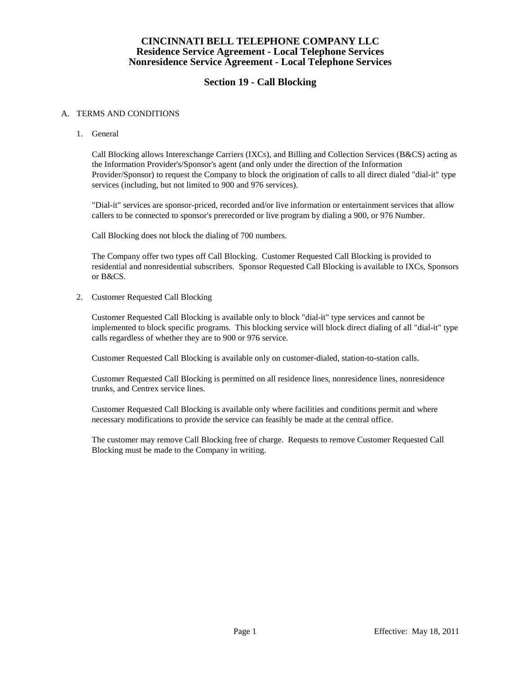## **CINCINNATI BELL TELEPHONE COMPANY LLC Residence Service Agreement - Local Telephone Services Nonresidence Service Agreement - Local Telephone Services**

# **Section 19 - Call Blocking**

#### A. TERMS AND CONDITIONS

1. General

Call Blocking allows Interexchange Carriers (IXCs), and Billing and Collection Services (B&CS) acting as the Information Provider's/Sponsor's agent (and only under the direction of the Information Provider/Sponsor) to request the Company to block the origination of calls to all direct dialed "dial-it" type services (including, but not limited to 900 and 976 services).

"Dial-it" services are sponsor-priced, recorded and/or live information or entertainment services that allow callers to be connected to sponsor's prerecorded or live program by dialing a 900, or 976 Number.

Call Blocking does not block the dialing of 700 numbers.

The Company offer two types off Call Blocking. Customer Requested Call Blocking is provided to residential and nonresidential subscribers. Sponsor Requested Call Blocking is available to IXCs, Sponsors or B&CS.

2. Customer Requested Call Blocking

Customer Requested Call Blocking is available only to block "dial-it" type services and cannot be implemented to block specific programs. This blocking service will block direct dialing of all "dial-it" type calls regardless of whether they are to 900 or 976 service.

Customer Requested Call Blocking is available only on customer-dialed, station-to-station calls.

Customer Requested Call Blocking is permitted on all residence lines, nonresidence lines, nonresidence trunks, and Centrex service lines.

Customer Requested Call Blocking is available only where facilities and conditions permit and where necessary modifications to provide the service can feasibly be made at the central office.

The customer may remove Call Blocking free of charge. Requests to remove Customer Requested Call Blocking must be made to the Company in writing.